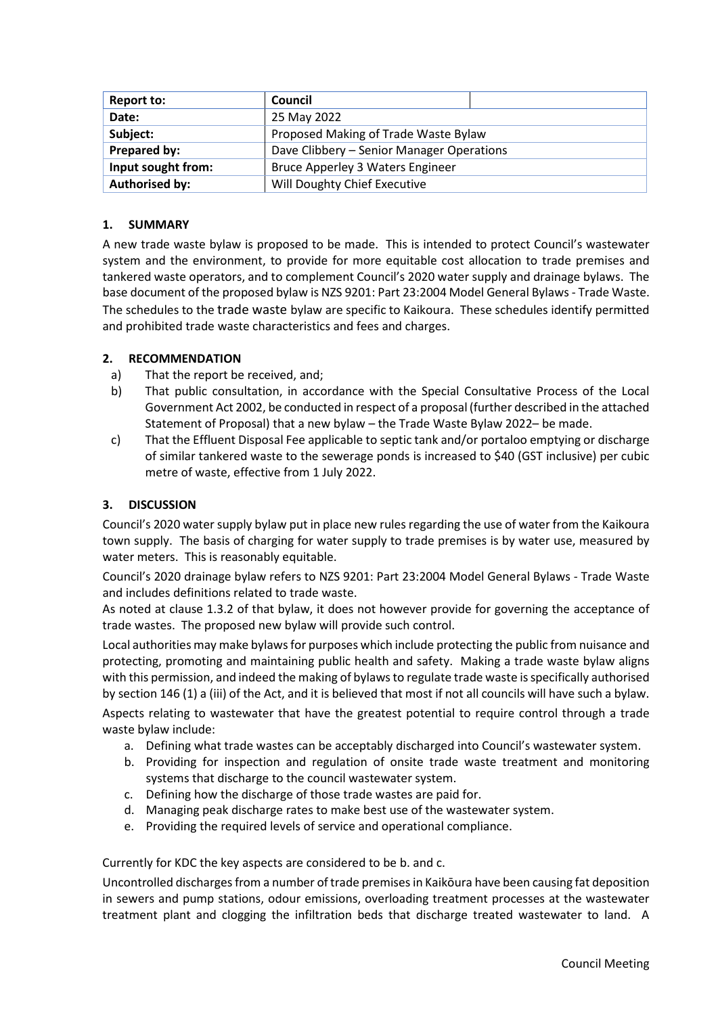| <b>Report to:</b>     | Council                                   |  |  |  |
|-----------------------|-------------------------------------------|--|--|--|
| Date:                 | 25 May 2022                               |  |  |  |
| Subject:              | Proposed Making of Trade Waste Bylaw      |  |  |  |
| Prepared by:          | Dave Clibbery - Senior Manager Operations |  |  |  |
| Input sought from:    | <b>Bruce Apperley 3 Waters Engineer</b>   |  |  |  |
| <b>Authorised by:</b> | Will Doughty Chief Executive              |  |  |  |

### **1. SUMMARY**

A new trade waste bylaw is proposed to be made. This is intended to protect Council's wastewater system and the environment, to provide for more equitable cost allocation to trade premises and tankered waste operators, and to complement Council's 2020 water supply and drainage bylaws. The base document of the proposed bylaw is NZS 9201: Part 23:2004 Model General Bylaws - Trade Waste. The schedules to the trade waste bylaw are specific to Kaikoura. These schedules identify permitted and prohibited trade waste characteristics and fees and charges.

### **2. RECOMMENDATION**

- a) That the report be received, and;
- b) That public consultation, in accordance with the Special Consultative Process of the Local Government Act 2002, be conducted in respect of a proposal (further described in the attached Statement of Proposal) that a new bylaw – the Trade Waste Bylaw 2022– be made.
- c) That the Effluent Disposal Fee applicable to septic tank and/or portaloo emptying or discharge of similar tankered waste to the sewerage ponds is increased to \$40 (GST inclusive) per cubic metre of waste, effective from 1 July 2022.

### **3. DISCUSSION**

Council's 2020 water supply bylaw put in place new rules regarding the use of water from the Kaikoura town supply. The basis of charging for water supply to trade premises is by water use, measured by water meters. This is reasonably equitable.

Council's 2020 drainage bylaw refers to NZS 9201: Part 23:2004 Model General Bylaws - Trade Waste and includes definitions related to trade waste.

As noted at clause 1.3.2 of that bylaw, it does not however provide for governing the acceptance of trade wastes. The proposed new bylaw will provide such control.

Local authorities may make bylaws for purposes which include protecting the public from nuisance and protecting, promoting and maintaining public health and safety. Making a trade waste bylaw aligns with this permission, and indeed the making of bylaws to regulate trade waste is specifically authorised by section 146 (1) a (iii) of the Act, and it is believed that most if not all councils will have such a bylaw.

Aspects relating to wastewater that have the greatest potential to require control through a trade waste bylaw include:

- a. Defining what trade wastes can be acceptably discharged into Council's wastewater system.
- b. Providing for inspection and regulation of onsite trade waste treatment and monitoring systems that discharge to the council wastewater system.
- c. Defining how the discharge of those trade wastes are paid for.
- d. Managing peak discharge rates to make best use of the wastewater system.
- e. Providing the required levels of service and operational compliance.

Currently for KDC the key aspects are considered to be b. and c.

Uncontrolled discharges from a number of trade premises in Kaikōura have been causing fat deposition in sewers and pump stations, odour emissions, overloading treatment processes at the wastewater treatment plant and clogging the infiltration beds that discharge treated wastewater to land. A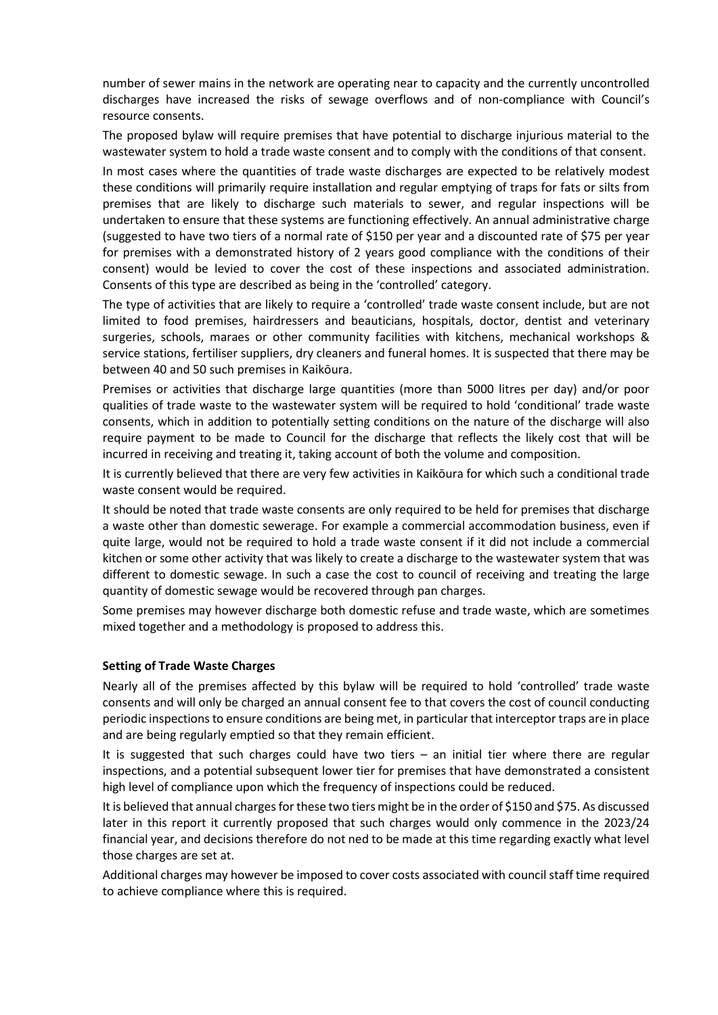number of sewer mains in the network are operating near to capacity and the currently uncontrolled discharges have increased the risks of sewage overflows and of non-compliance with Council's resource consents.

The proposed bylaw will require premises that have potential to discharge injurious material to the wastewater system to hold a trade waste consent and to comply with the conditions of that consent.

In most cases where the quantities of trade waste discharges are expected to be relatively modest these conditions will primarily require installation and regular emptying of traps for fats or silts from premises that are likely to discharge such materials to sewer, and regular inspections will be undertaken to ensure that these systems are functioning effectively. An annual administrative charge (suggested to have two tiers of a normal rate of \$150 per year and a discounted rate of \$75 per year for premises with a demonstrated history of 2 years good compliance with the conditions of their consent) would be levied to cover the cost of these inspections and associated administration. Consents of this type are described as being in the 'controlled' category.

The type of activities that are likely to require a 'controlled' trade waste consent include, but are not limited to food premises, hairdressers and beauticians, hospitals, doctor, dentist and veterinary surgeries, schools, maraes or other community facilities with kitchens, mechanical workshops & service stations, fertiliser suppliers, dry cleaners and funeral homes. It is suspected that there may be between 40 and 50 such premises in Kaikōura.

Premises or activities that discharge large quantities (more than 5000 litres per day) and/or poor qualities of trade waste to the wastewater system will be required to hold 'conditional' trade waste consents, which in addition to potentially setting conditions on the nature of the discharge will also require payment to be made to Council for the discharge that reflects the likely cost that will be incurred in receiving and treating it, taking account of both the volume and composition.

It is currently believed that there are very few activities in Kaikōura for which such a conditional trade waste consent would be required.

It should be noted that trade waste consents are only required to be held for premises that discharge a waste other than domestic sewerage. For example a commercial accommodation business, even if quite large, would not be required to hold a trade waste consent if it did not include a commercial kitchen or some other activity that was likely to create a discharge to the wastewater system that was different to domestic sewage. In such a case the cost to council of receiving and treating the large quantity of domestic sewage would be recovered through pan charges.

Some premises may however discharge both domestic refuse and trade waste, which are sometimes mixed together and a methodology is proposed to address this.

#### **Setting of Trade Waste Charges**

Nearly all of the premises affected by this bylaw will be required to hold 'controlled' trade waste consents and will only be charged an annual consent fee to that covers the cost of council conducting periodic inspections to ensure conditions are being met, in particular that interceptor traps are in place and are being regularly emptied so that they remain efficient.

It is suggested that such charges could have two tiers – an initial tier where there are regular inspections, and a potential subsequent lower tier for premises that have demonstrated a consistent high level of compliance upon which the frequency of inspections could be reduced.

It is believed that annual charges for these two tiers might be in the order of \$150 and \$75. As discussed later in this report it currently proposed that such charges would only commence in the 2023/24 financial year, and decisions therefore do not ned to be made at this time regarding exactly what level those charges are set at.

Additional charges may however be imposed to cover costs associated with council staff time required to achieve compliance where this is required.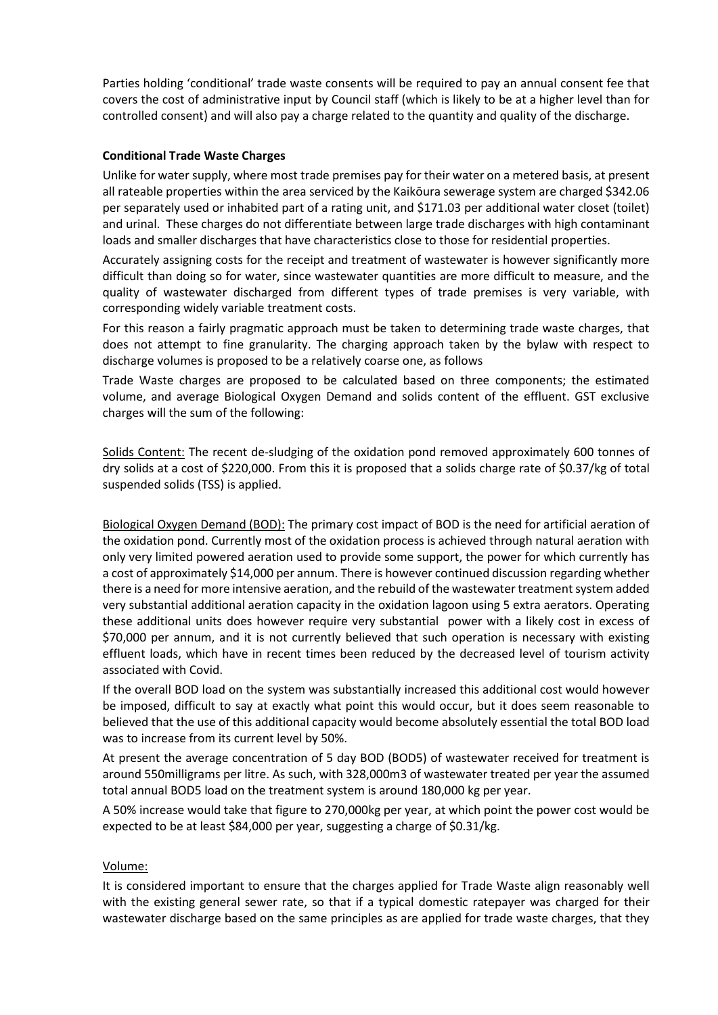Parties holding 'conditional' trade waste consents will be required to pay an annual consent fee that covers the cost of administrative input by Council staff (which is likely to be at a higher level than for controlled consent) and will also pay a charge related to the quantity and quality of the discharge.

### **Conditional Trade Waste Charges**

Unlike for water supply, where most trade premises pay for their water on a metered basis, at present all rateable properties within the area serviced by the Kaikōura sewerage system are charged \$342.06 per separately used or inhabited part of a rating unit, and \$171.03 per additional water closet (toilet) and urinal. These charges do not differentiate between large trade discharges with high contaminant loads and smaller discharges that have characteristics close to those for residential properties.

Accurately assigning costs for the receipt and treatment of wastewater is however significantly more difficult than doing so for water, since wastewater quantities are more difficult to measure, and the quality of wastewater discharged from different types of trade premises is very variable, with corresponding widely variable treatment costs.

For this reason a fairly pragmatic approach must be taken to determining trade waste charges, that does not attempt to fine granularity. The charging approach taken by the bylaw with respect to discharge volumes is proposed to be a relatively coarse one, as follows

Trade Waste charges are proposed to be calculated based on three components; the estimated volume, and average Biological Oxygen Demand and solids content of the effluent. GST exclusive charges will the sum of the following:

Solids Content: The recent de-sludging of the oxidation pond removed approximately 600 tonnes of dry solids at a cost of \$220,000. From this it is proposed that a solids charge rate of \$0.37/kg of total suspended solids (TSS) is applied.

Biological Oxygen Demand (BOD): The primary cost impact of BOD is the need for artificial aeration of the oxidation pond. Currently most of the oxidation process is achieved through natural aeration with only very limited powered aeration used to provide some support, the power for which currently has a cost of approximately \$14,000 per annum. There is however continued discussion regarding whether there is a need for more intensive aeration, and the rebuild of the wastewater treatment system added very substantial additional aeration capacity in the oxidation lagoon using 5 extra aerators. Operating these additional units does however require very substantial power with a likely cost in excess of \$70,000 per annum, and it is not currently believed that such operation is necessary with existing effluent loads, which have in recent times been reduced by the decreased level of tourism activity associated with Covid.

If the overall BOD load on the system was substantially increased this additional cost would however be imposed, difficult to say at exactly what point this would occur, but it does seem reasonable to believed that the use of this additional capacity would become absolutely essential the total BOD load was to increase from its current level by 50%.

At present the average concentration of 5 day BOD (BOD5) of wastewater received for treatment is around 550milligrams per litre. As such, with 328,000m3 of wastewater treated per year the assumed total annual BOD5 load on the treatment system is around 180,000 kg per year.

A 50% increase would take that figure to 270,000kg per year, at which point the power cost would be expected to be at least \$84,000 per year, suggesting a charge of \$0.31/kg.

#### Volume:

It is considered important to ensure that the charges applied for Trade Waste align reasonably well with the existing general sewer rate, so that if a typical domestic ratepayer was charged for their wastewater discharge based on the same principles as are applied for trade waste charges, that they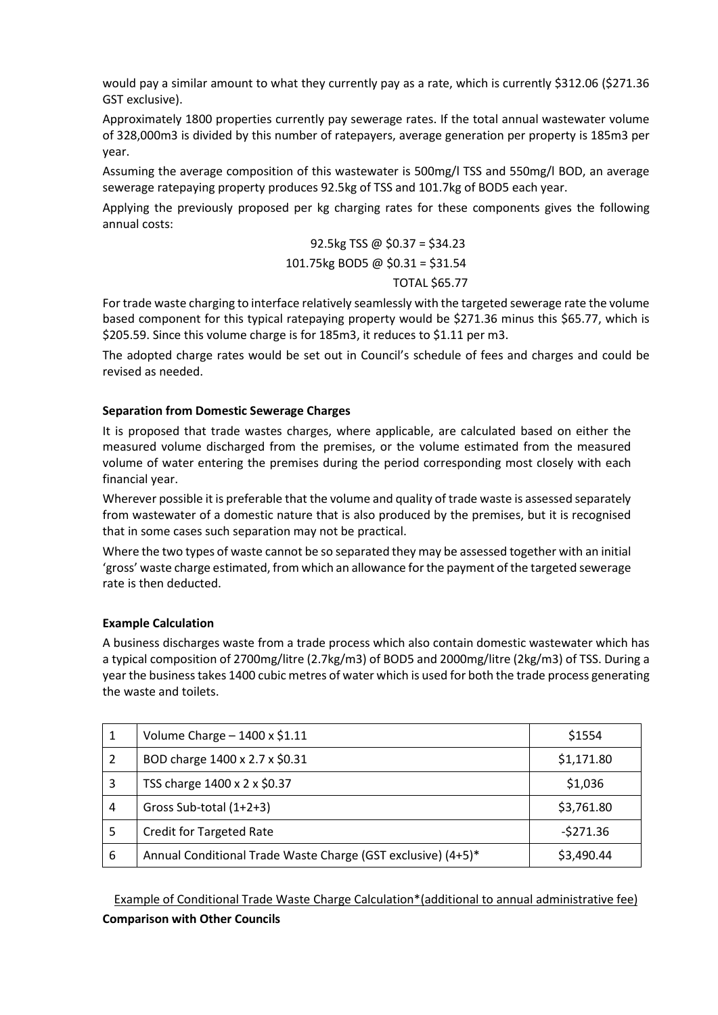would pay a similar amount to what they currently pay as a rate, which is currently \$312.06 (\$271.36 GST exclusive).

Approximately 1800 properties currently pay sewerage rates. If the total annual wastewater volume of 328,000m3 is divided by this number of ratepayers, average generation per property is 185m3 per year.

Assuming the average composition of this wastewater is 500mg/l TSS and 550mg/l BOD, an average sewerage ratepaying property produces 92.5kg of TSS and 101.7kg of BOD5 each year.

Applying the previously proposed per kg charging rates for these components gives the following annual costs:

# 92.5kg TSS @ \$0.37 = \$34.23 101.75kg BOD5 @ \$0.31 = \$31.54

### TOTAL \$65.77

For trade waste charging to interface relatively seamlessly with the targeted sewerage rate the volume based component for this typical ratepaying property would be \$271.36 minus this \$65.77, which is \$205.59. Since this volume charge is for 185m3, it reduces to \$1.11 per m3.

The adopted charge rates would be set out in Council's schedule of fees and charges and could be revised as needed.

## **Separation from Domestic Sewerage Charges**

It is proposed that trade wastes charges, where applicable, are calculated based on either the measured volume discharged from the premises, or the volume estimated from the measured volume of water entering the premises during the period corresponding most closely with each financial year.

Wherever possible it is preferable that the volume and quality of trade waste is assessed separately from wastewater of a domestic nature that is also produced by the premises, but it is recognised that in some cases such separation may not be practical.

Where the two types of waste cannot be so separated they may be assessed together with an initial 'gross' waste charge estimated, from which an allowance for the payment of the targeted sewerage rate is then deducted.

## **Example Calculation**

A business discharges waste from a trade process which also contain domestic wastewater which has a typical composition of 2700mg/litre (2.7kg/m3) of BOD5 and 2000mg/litre (2kg/m3) of TSS. During a year the business takes 1400 cubic metres of water which is used for both the trade process generating the waste and toilets.

| 1 | Volume Charge $-1400 \times 1.11$                            | \$1554     |
|---|--------------------------------------------------------------|------------|
| 2 | BOD charge 1400 x 2.7 x \$0.31                               | \$1,171.80 |
| 3 | TSS charge 1400 x 2 x \$0.37                                 | \$1,036    |
| 4 | Gross Sub-total (1+2+3)                                      | \$3,761.80 |
| 5 | <b>Credit for Targeted Rate</b>                              | $-5271.36$ |
| 6 | Annual Conditional Trade Waste Charge (GST exclusive) (4+5)* | \$3,490.44 |

Example of Conditional Trade Waste Charge Calculation\*(additional to annual administrative fee) **Comparison with Other Councils**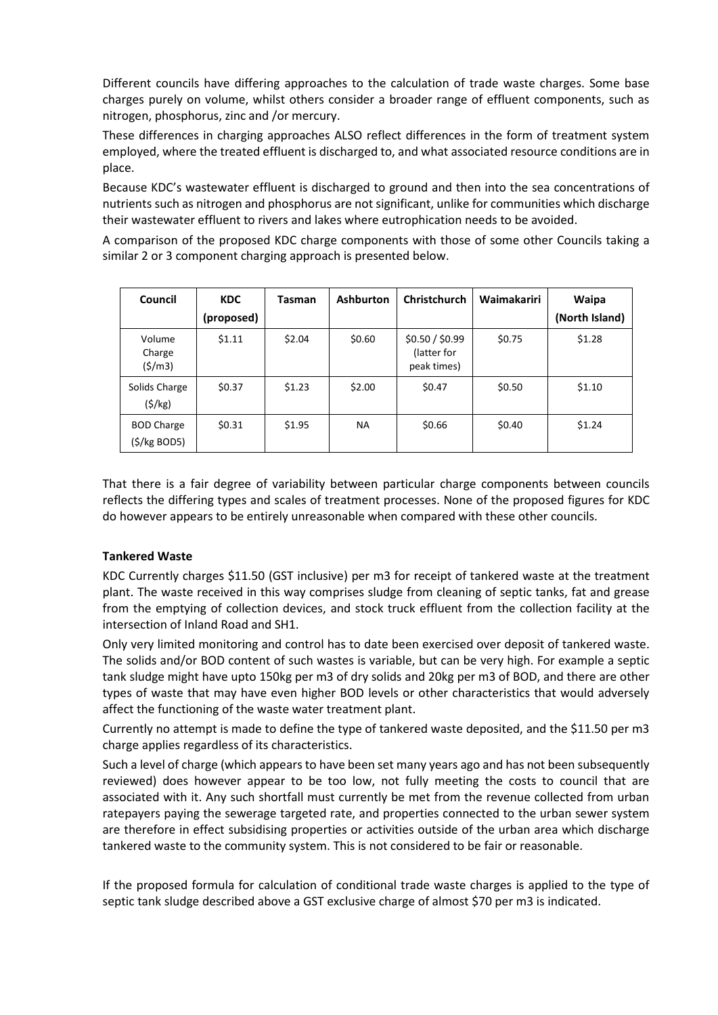Different councils have differing approaches to the calculation of trade waste charges. Some base charges purely on volume, whilst others consider a broader range of effluent components, such as nitrogen, phosphorus, zinc and /or mercury.

These differences in charging approaches ALSO reflect differences in the form of treatment system employed, where the treated effluent is discharged to, and what associated resource conditions are in place.

Because KDC's wastewater effluent is discharged to ground and then into the sea concentrations of nutrients such as nitrogen and phosphorus are not significant, unlike for communities which discharge their wastewater effluent to rivers and lakes where eutrophication needs to be avoided.

A comparison of the proposed KDC charge components with those of some other Councils taking a similar 2 or 3 component charging approach is presented below.

| Council                                    | <b>KDC</b> | <b>Ashburton</b><br><b>Tasman</b> |           | <b>Christchurch</b>                           | Waimakariri | Waipa          |
|--------------------------------------------|------------|-----------------------------------|-----------|-----------------------------------------------|-------------|----------------|
|                                            | (proposed) |                                   |           |                                               |             | (North Island) |
| Volume<br>Charge<br>(\$/m3)                | \$1.11     | \$2.04                            | \$0.60    | \$0.50 / \$0.99<br>(latter for<br>peak times) | \$0.75      | \$1.28         |
| Solids Charge<br>(5/kg)                    | \$0.37     | \$1.23                            | \$2.00    | \$0.47                                        | \$0.50      | \$1.10         |
| <b>BOD Charge</b><br>$(\frac{5}{kg}$ BOD5) | \$0.31     | \$1.95                            | <b>NA</b> | \$0.66                                        | \$0.40      | \$1.24         |

That there is a fair degree of variability between particular charge components between councils reflects the differing types and scales of treatment processes. None of the proposed figures for KDC do however appears to be entirely unreasonable when compared with these other councils.

## **Tankered Waste**

KDC Currently charges \$11.50 (GST inclusive) per m3 for receipt of tankered waste at the treatment plant. The waste received in this way comprises sludge from cleaning of septic tanks, fat and grease from the emptying of collection devices, and stock truck effluent from the collection facility at the intersection of Inland Road and SH1.

Only very limited monitoring and control has to date been exercised over deposit of tankered waste. The solids and/or BOD content of such wastes is variable, but can be very high. For example a septic tank sludge might have upto 150kg per m3 of dry solids and 20kg per m3 of BOD, and there are other types of waste that may have even higher BOD levels or other characteristics that would adversely affect the functioning of the waste water treatment plant.

Currently no attempt is made to define the type of tankered waste deposited, and the \$11.50 per m3 charge applies regardless of its characteristics.

Such a level of charge (which appears to have been set many years ago and has not been subsequently reviewed) does however appear to be too low, not fully meeting the costs to council that are associated with it. Any such shortfall must currently be met from the revenue collected from urban ratepayers paying the sewerage targeted rate, and properties connected to the urban sewer system are therefore in effect subsidising properties or activities outside of the urban area which discharge tankered waste to the community system. This is not considered to be fair or reasonable.

If the proposed formula for calculation of conditional trade waste charges is applied to the type of septic tank sludge described above a GST exclusive charge of almost \$70 per m3 is indicated.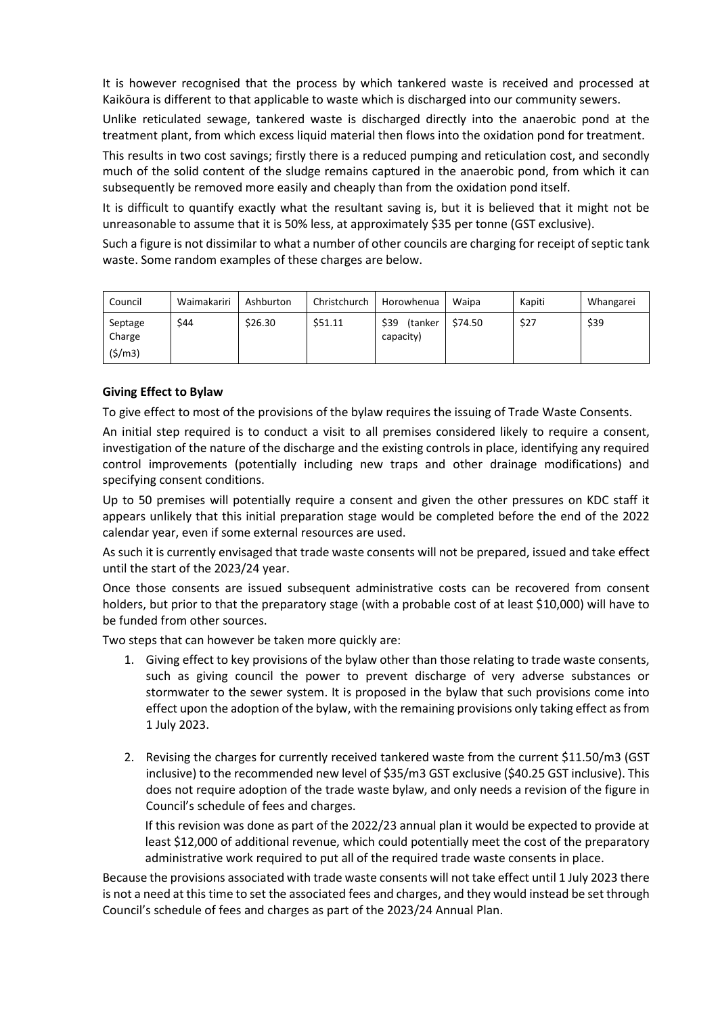It is however recognised that the process by which tankered waste is received and processed at Kaikōura is different to that applicable to waste which is discharged into our community sewers.

Unlike reticulated sewage, tankered waste is discharged directly into the anaerobic pond at the treatment plant, from which excess liquid material then flows into the oxidation pond for treatment.

This results in two cost savings; firstly there is a reduced pumping and reticulation cost, and secondly much of the solid content of the sludge remains captured in the anaerobic pond, from which it can subsequently be removed more easily and cheaply than from the oxidation pond itself.

It is difficult to quantify exactly what the resultant saving is, but it is believed that it might not be unreasonable to assume that it is 50% less, at approximately \$35 per tonne (GST exclusive).

Such a figure is not dissimilar to what a number of other councils are charging for receipt of septic tank waste. Some random examples of these charges are below.

| Council                     | Waimakariri | Ashburton | Christchurch | Horowhenua                   | Waipa   | Kapiti | Whangarei |
|-----------------------------|-------------|-----------|--------------|------------------------------|---------|--------|-----------|
| Septage<br>Charge<br>(5/m3) | \$44        | \$26.30   | \$51.11      | \$39<br>(tanker<br>capacity) | \$74.50 | \$27   | \$39      |

### **Giving Effect to Bylaw**

To give effect to most of the provisions of the bylaw requires the issuing of Trade Waste Consents.

An initial step required is to conduct a visit to all premises considered likely to require a consent, investigation of the nature of the discharge and the existing controls in place, identifying any required control improvements (potentially including new traps and other drainage modifications) and specifying consent conditions.

Up to 50 premises will potentially require a consent and given the other pressures on KDC staff it appears unlikely that this initial preparation stage would be completed before the end of the 2022 calendar year, even if some external resources are used.

As such it is currently envisaged that trade waste consents will not be prepared, issued and take effect until the start of the 2023/24 year.

Once those consents are issued subsequent administrative costs can be recovered from consent holders, but prior to that the preparatory stage (with a probable cost of at least \$10,000) will have to be funded from other sources.

Two steps that can however be taken more quickly are:

- 1. Giving effect to key provisions of the bylaw other than those relating to trade waste consents, such as giving council the power to prevent discharge of very adverse substances or stormwater to the sewer system. It is proposed in the bylaw that such provisions come into effect upon the adoption of the bylaw, with the remaining provisions only taking effect as from 1 July 2023.
- 2. Revising the charges for currently received tankered waste from the current \$11.50/m3 (GST inclusive) to the recommended new level of \$35/m3 GST exclusive (\$40.25 GST inclusive). This does not require adoption of the trade waste bylaw, and only needs a revision of the figure in Council's schedule of fees and charges.

If this revision was done as part of the 2022/23 annual plan it would be expected to provide at least \$12,000 of additional revenue, which could potentially meet the cost of the preparatory administrative work required to put all of the required trade waste consents in place.

Because the provisions associated with trade waste consents will not take effect until 1 July 2023 there is not a need at this time to set the associated fees and charges, and they would instead be set through Council's schedule of fees and charges as part of the 2023/24 Annual Plan.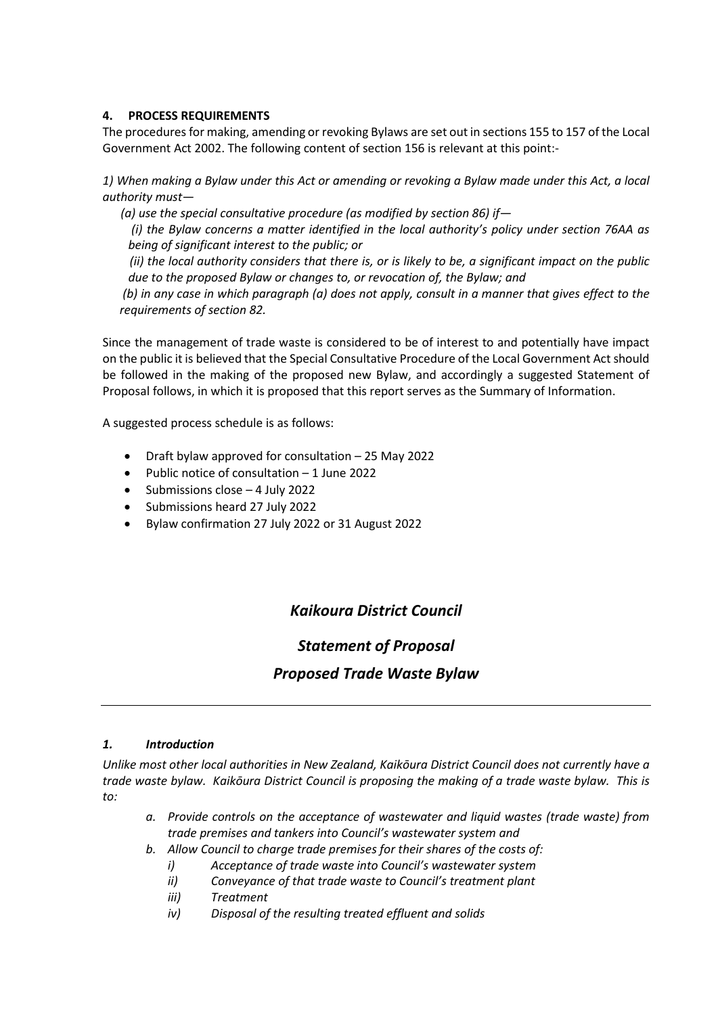### **4. PROCESS REQUIREMENTS**

The procedures for making, amending or revoking Bylaws are set out in sections 155 to 157 of the Local Government Act 2002. The following content of section 156 is relevant at this point:-

*1) When making a Bylaw under this Act or amending or revoking a Bylaw made under this Act, a local authority must—*

 *(a) use the special consultative procedure (as modified by section 86) if—*

*(i) the Bylaw concerns a matter identified in the local authority's policy under section 76AA as being of significant interest to the public; or*

 *(ii) the local authority considers that there is, or is likely to be, a significant impact on the public due to the proposed Bylaw or changes to, or revocation of, the Bylaw; and*

*(b) in any case in which paragraph (a) does not apply, consult in a manner that gives effect to the requirements of section 82.*

Since the management of trade waste is considered to be of interest to and potentially have impact on the public it is believed that the Special Consultative Procedure of the Local Government Act should be followed in the making of the proposed new Bylaw, and accordingly a suggested Statement of Proposal follows, in which it is proposed that this report serves as the Summary of Information.

A suggested process schedule is as follows:

- Draft bylaw approved for consultation 25 May 2022
- Public notice of consultation 1 June 2022
- Submissions close 4 July 2022
- Submissions heard 27 July 2022
- Bylaw confirmation 27 July 2022 or 31 August 2022

# *Kaikoura District Council*

# *Statement of Proposal*

# *Proposed Trade Waste Bylaw*

#### *1. Introduction*

*Unlike most other local authorities in New Zealand, Kaikōura District Council does not currently have a trade waste bylaw. Kaikōura District Council is proposing the making of a trade waste bylaw. This is to:*

- *a. Provide controls on the acceptance of wastewater and liquid wastes (trade waste) from trade premises and tankers into Council's wastewater system and*
- *b. Allow Council to charge trade premises for their shares of the costs of:*
	- *i) Acceptance of trade waste into Council's wastewater system*
	- *ii) Conveyance of that trade waste to Council's treatment plant*
	- *iii) Treatment*
	- *iv) Disposal of the resulting treated effluent and solids*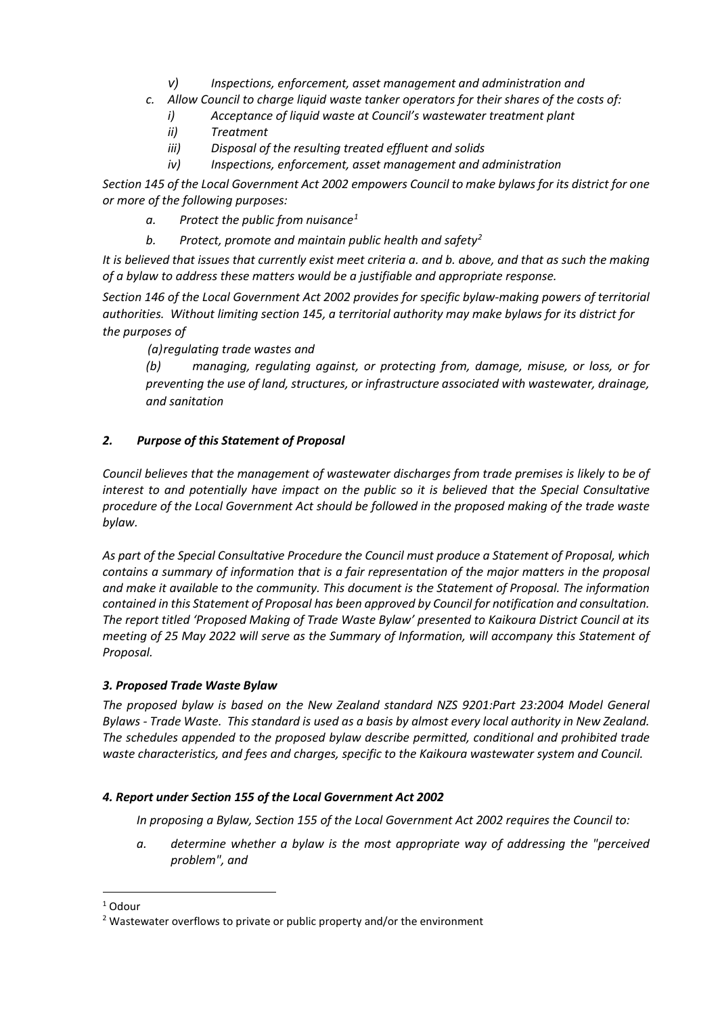- *v) Inspections, enforcement, asset management and administration and*
- *c. Allow Council to charge liquid waste tanker operators for their shares of the costs of:*
	- *i) Acceptance of liquid waste at Council's wastewater treatment plant*
	- *ii) Treatment*
	- *iii) Disposal of the resulting treated effluent and solids*
	- *iv) Inspections, enforcement, asset management and administration*

*Section 145 of the Local Government Act 2002 empowers Council to make bylaws for its district for one or more of the following purposes:*

- *a. Protect the public from nuisance[1](#page-7-0)*
- *b. Protect, promote and maintain public health and safety[2](#page-7-1)*

*It is believed that issues that currently exist meet criteria a. and b. above, and that as such the making of a bylaw to address these matters would be a justifiable and appropriate response.*

*Section 146 of the Local Government Act 2002 provides for specific bylaw-making powers of territorial authorities. Without limitin[g section 145,](https://www.legislation.govt.nz/act/public/2002/0084/latest/link.aspx?id=DLM172978#DLM172978) a territorial authority may make bylaws for its district for the purposes of* 

 *(a)regulating trade wastes and*

*(b) managing, regulating against, or protecting from, damage, misuse, or loss, or for preventing the use of land, structures, or infrastructure associated with wastewater, drainage, and sanitation*

# *2. Purpose of this Statement of Proposal*

*Council believes that the management of wastewater discharges from trade premises is likely to be of interest to and potentially have impact on the public so it is believed that the Special Consultative procedure of the Local Government Act should be followed in the proposed making of the trade waste bylaw.*

*As part of the Special Consultative Procedure the Council must produce a Statement of Proposal, which contains a summary of information that is a fair representation of the major matters in the proposal and make it available to the community. This document is the Statement of Proposal. The information contained in this Statement of Proposal has been approved by Council for notification and consultation. The report titled 'Proposed Making of Trade Waste Bylaw' presented to Kaikoura District Council at its meeting of 25 May 2022 will serve as the Summary of Information, will accompany this Statement of Proposal.*

## *3. Proposed Trade Waste Bylaw*

*The proposed bylaw is based on the New Zealand standard NZS 9201:Part 23:2004 Model General Bylaws - Trade Waste. This standard is used as a basis by almost every local authority in New Zealand. The schedules appended to the proposed bylaw describe permitted, conditional and prohibited trade waste characteristics, and fees and charges, specific to the Kaikoura wastewater system and Council.* 

## *4. Report under Section 155 of the Local Government Act 2002*

*In proposing a Bylaw, Section 155 of the Local Government Act 2002 requires the Council to:*

*a. determine whether a bylaw is the most appropriate way of addressing the "perceived problem", and*

<span id="page-7-0"></span><sup>&</sup>lt;sup>1</sup> Odour

<span id="page-7-1"></span> $2$  Wastewater overflows to private or public property and/or the environment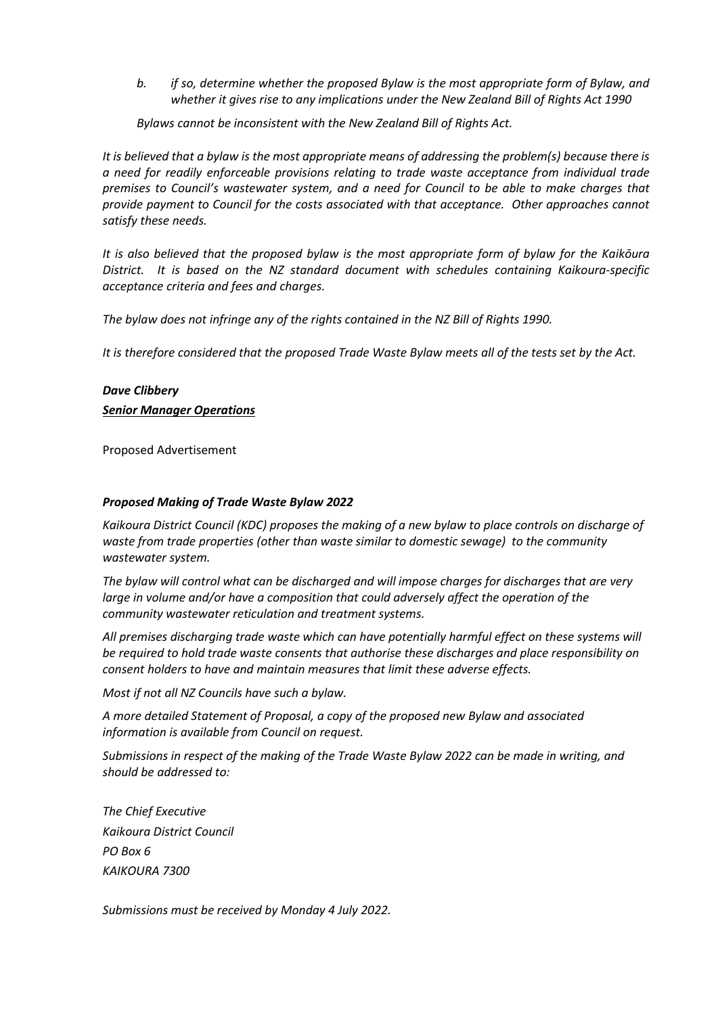*b. if so, determine whether the proposed Bylaw is the most appropriate form of Bylaw, and whether it gives rise to any implications under the New Zealand Bill of Rights Act 1990*

*Bylaws cannot be inconsistent with the New Zealand Bill of Rights Act.*

*It is believed that a bylaw is the most appropriate means of addressing the problem(s) because there is a need for readily enforceable provisions relating to trade waste acceptance from individual trade premises to Council's wastewater system, and a need for Council to be able to make charges that provide payment to Council for the costs associated with that acceptance. Other approaches cannot satisfy these needs.*

*It is also believed that the proposed bylaw is the most appropriate form of bylaw for the Kaikōura District. It is based on the NZ standard document with schedules containing Kaikoura-specific acceptance criteria and fees and charges.*

*The bylaw does not infringe any of the rights contained in the NZ Bill of Rights 1990.*

*It is therefore considered that the proposed Trade Waste Bylaw meets all of the tests set by the Act.* 

### *Dave Clibbery*

#### *Senior Manager Operations*

Proposed Advertisement

#### *Proposed Making of Trade Waste Bylaw 2022*

*Kaikoura District Council (KDC) proposes the making of a new bylaw to place controls on discharge of waste from trade properties (other than waste similar to domestic sewage) to the community wastewater system.*

*The bylaw will control what can be discharged and will impose charges for discharges that are very large in volume and/or have a composition that could adversely affect the operation of the community wastewater reticulation and treatment systems.*

*All premises discharging trade waste which can have potentially harmful effect on these systems will be required to hold trade waste consents that authorise these discharges and place responsibility on consent holders to have and maintain measures that limit these adverse effects.* 

*Most if not all NZ Councils have such a bylaw.*

*A more detailed Statement of Proposal, a copy of the proposed new Bylaw and associated information is available from Council on request.*

*Submissions in respect of the making of the Trade Waste Bylaw 2022 can be made in writing, and should be addressed to:*

*The Chief Executive Kaikoura District Council PO Box 6 KAIKOURA 7300*

*Submissions must be received by Monday 4 July 2022.*